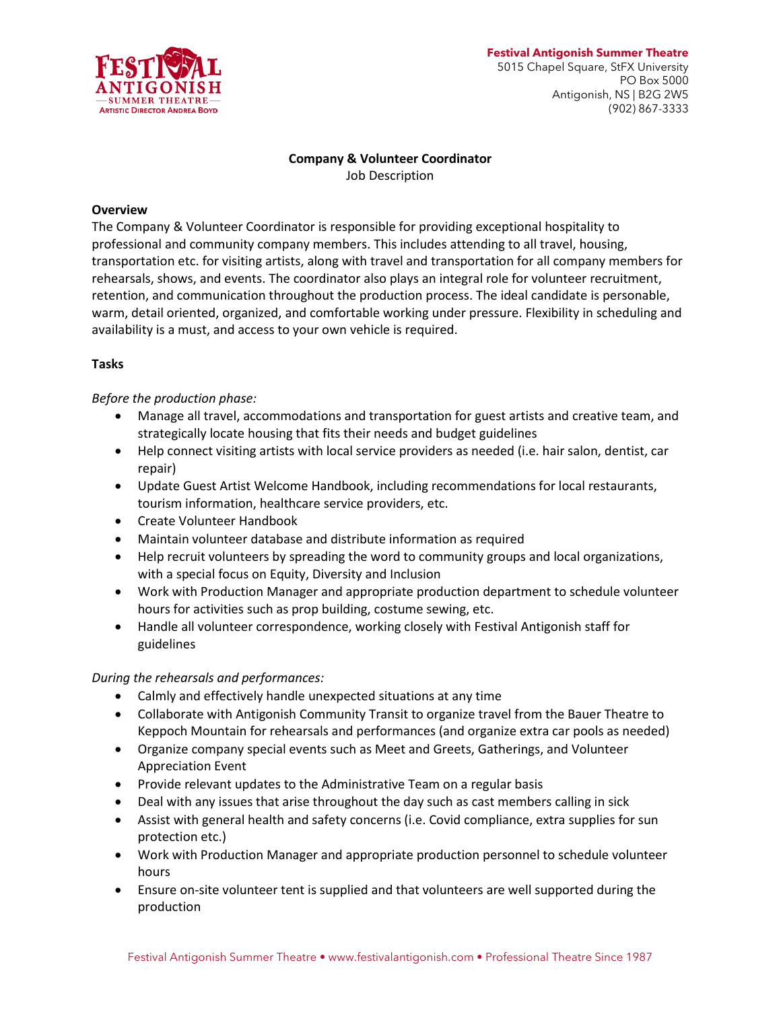

# **Company & Volunteer Coordinator**

Job Description

## **Overview**

The Company & Volunteer Coordinator is responsible for providing exceptional hospitality to professional and community company members. This includes attending to all travel, housing, transportation etc. for visiting artists, along with travel and transportation for all company members for rehearsals, shows, and events. The coordinator also plays an integral role for volunteer recruitment, retention, and communication throughout the production process. The ideal candidate is personable, warm, detail oriented, organized, and comfortable working under pressure. Flexibility in scheduling and availability is a must, and access to your own vehicle is required.

# **Tasks**

*Before the production phase:*

- Manage all travel, accommodations and transportation for guest artists and creative team, and strategically locate housing that fits their needs and budget guidelines
- Help connect visiting artists with local service providers as needed (i.e. hair salon, dentist, car repair)
- Update Guest Artist Welcome Handbook, including recommendations for local restaurants, tourism information, healthcare service providers, etc.
- Create Volunteer Handbook
- Maintain volunteer database and distribute information as required
- Help recruit volunteers by spreading the word to community groups and local organizations, with a special focus on Equity, Diversity and Inclusion
- Work with Production Manager and appropriate production department to schedule volunteer hours for activities such as prop building, costume sewing, etc.
- Handle all volunteer correspondence, working closely with Festival Antigonish staff for guidelines

*During the rehearsals and performances:*

- Calmly and effectively handle unexpected situations at any time
- Collaborate with Antigonish Community Transit to organize travel from the Bauer Theatre to Keppoch Mountain for rehearsals and performances (and organize extra car pools as needed)
- Organize company special events such as Meet and Greets, Gatherings, and Volunteer Appreciation Event
- Provide relevant updates to the Administrative Team on a regular basis
- Deal with any issues that arise throughout the day such as cast members calling in sick
- Assist with general health and safety concerns (i.e. Covid compliance, extra supplies for sun protection etc.)
- Work with Production Manager and appropriate production personnel to schedule volunteer hours
- Ensure on-site volunteer tent is supplied and that volunteers are well supported during the production